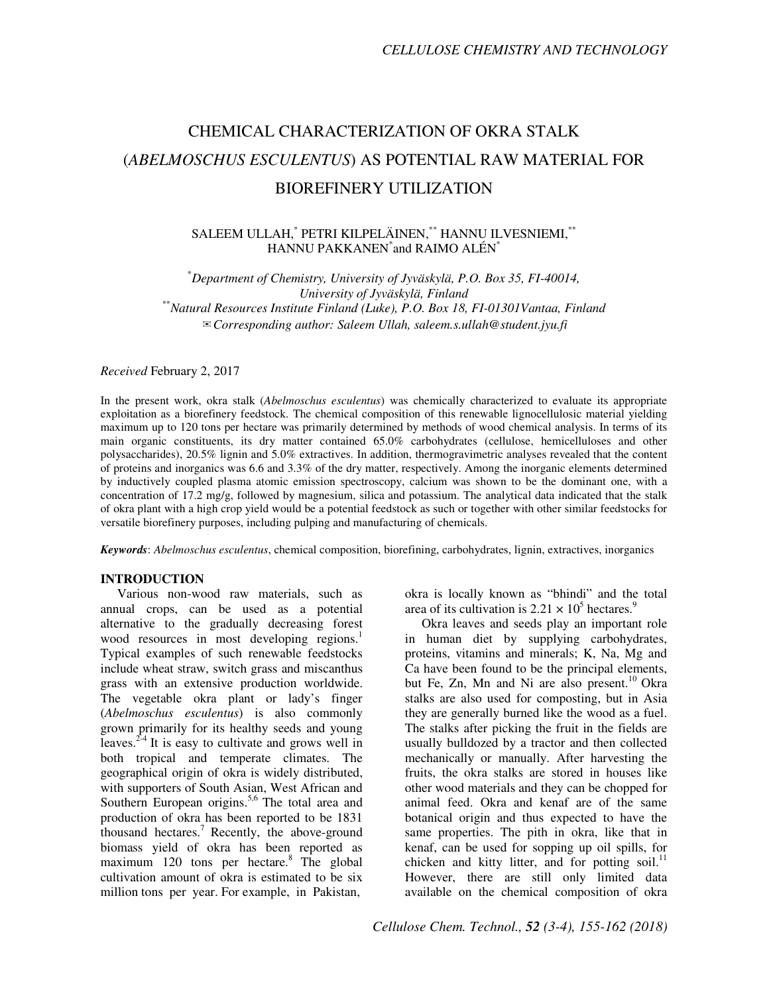# CHEMICAL CHARACTERIZATION OF OKRA STALK (*ABELMOSCHUS ESCULENTUS*) AS POTENTIAL RAW MATERIAL FOR BIOREFINERY UTILIZATION

# SALEEM ULLAH,\* PETRI KILPELÄINEN,\*\* HANNU ILVESNIEMI,\*\* HANNU PAKKANEN\* and RAIMO ALÉN\*

\**Department of Chemistry, University of Jyväskylä, P.O. Box 35, FI-40014, University of Jyväskylä, Finland*  \*\**Natural Resources Institute Finland (Luke), P.O. Box 18, FI-01301Vantaa, Finland*  ✉*Corresponding author: Saleem Ullah, saleem.s.ullah@student.jyu.fi*

*Received* February 2, 2017

In the present work, okra stalk (*Abelmoschus esculentus*) was chemically characterized to evaluate its appropriate exploitation as a biorefinery feedstock. The chemical composition of this renewable lignocellulosic material yielding maximum up to 120 tons per hectare was primarily determined by methods of wood chemical analysis. In terms of its main organic constituents, its dry matter contained 65.0% carbohydrates (cellulose, hemicelluloses and other polysaccharides), 20.5% lignin and 5.0% extractives. In addition, thermogravimetric analyses revealed that the content of proteins and inorganics was 6.6 and 3.3% of the dry matter, respectively. Among the inorganic elements determined by inductively coupled plasma atomic emission spectroscopy, calcium was shown to be the dominant one, with a concentration of 17.2 mg/g, followed by magnesium, silica and potassium. The analytical data indicated that the stalk of okra plant with a high crop yield would be a potential feedstock as such or together with other similar feedstocks for versatile biorefinery purposes, including pulping and manufacturing of chemicals.

*Keywords*: *Abelmoschus esculentus*, chemical composition, biorefining, carbohydrates, lignin, extractives, inorganics

## **INTRODUCTION**

Various non-wood raw materials, such as annual crops, can be used as a potential alternative to the gradually decreasing forest wood resources in most developing regions.<sup>1</sup> Typical examples of such renewable feedstocks include wheat straw, switch grass and miscanthus grass with an extensive production worldwide. The vegetable okra plant or lady's finger (*Abelmoschus esculentus*) is also commonly grown primarily for its healthy seeds and young leaves. $2-4$  It is easy to cultivate and grows well in both tropical and temperate climates. The geographical origin of okra is widely distributed, with supporters of South Asian, West African and Southern European origins.<sup>5,6</sup> The total area and production of okra has been reported to be 1831 thousand hectares.<sup>7</sup> Recently, the above-ground biomass yield of okra has been reported as maximum 120 tons per hectare.<sup>8</sup> The global cultivation amount of okra is estimated to be six million tons per year. For example, in Pakistan,

okra is locally known as "bhindi" and the total area of its cultivation is  $2.21 \times 10^5$  hectares.<sup>9</sup>

Okra leaves and seeds play an important role in human diet by supplying carbohydrates, proteins, vitamins and minerals; K, Na, Mg and Ca have been found to be the principal elements, but Fe, Zn, Mn and Ni are also present.<sup>10</sup> Okra stalks are also used for composting, but in Asia they are generally burned like the wood as a fuel. The stalks after picking the fruit in the fields are usually bulldozed by a tractor and then collected mechanically or manually. After harvesting the fruits, the okra stalks are stored in houses like other wood materials and they can be chopped for animal feed. Okra and kenaf are of the same botanical origin and thus expected to have the same properties. The pith in okra, like that in kenaf, can be used for sopping up oil spills, for chicken and kitty litter, and for potting soil.<sup>1</sup> However, there are still only limited data available on the chemical composition of okra

*Cellulose Chem. Technol., 52 (3-4), 155-162 (2018)*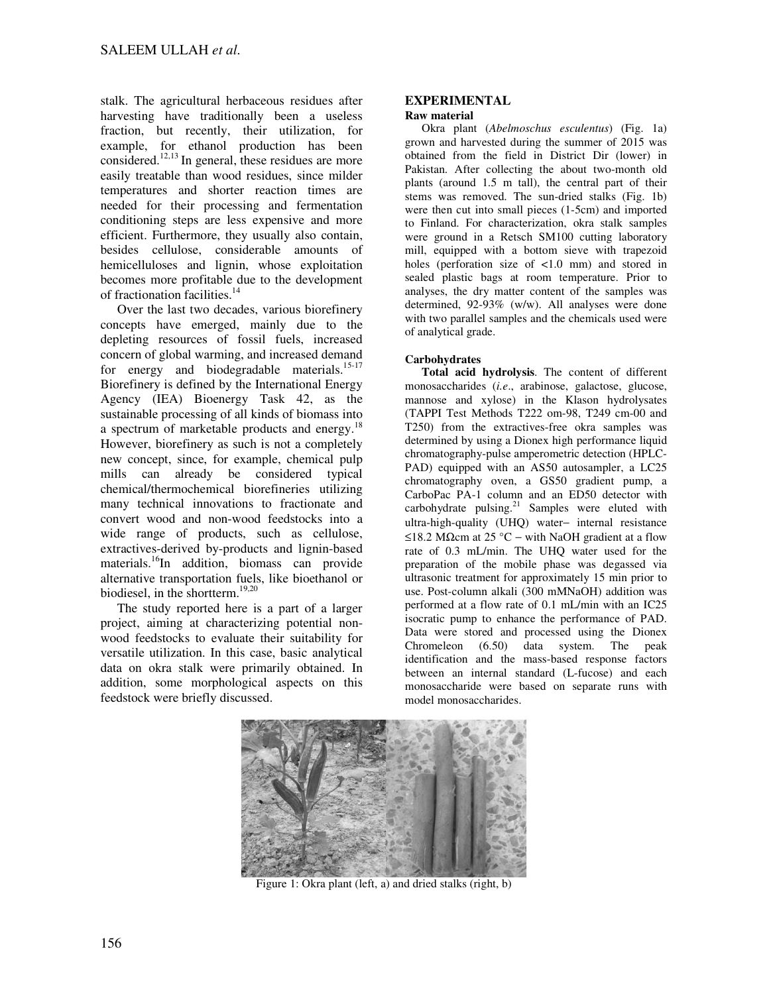stalk. The agricultural herbaceous residues after harvesting have traditionally been a useless fraction, but recently, their utilization, for example, for ethanol production has been considered.12,13 In general, these residues are more easily treatable than wood residues, since milder temperatures and shorter reaction times are needed for their processing and fermentation conditioning steps are less expensive and more efficient. Furthermore, they usually also contain, besides cellulose, considerable amounts of hemicelluloses and lignin, whose exploitation becomes more profitable due to the development of fractionation facilities.<sup>14</sup>

Over the last two decades, various biorefinery concepts have emerged, mainly due to the depleting resources of fossil fuels, increased concern of global warming, and increased demand for energy and biodegradable materials.<sup>15-17</sup> Biorefinery is defined by the International Energy Agency (IEA) Bioenergy Task 42, as the sustainable processing of all kinds of biomass into a spectrum of marketable products and energy.<sup>18</sup> However, biorefinery as such is not a completely new concept, since, for example, chemical pulp mills can already be considered typical chemical/thermochemical biorefineries utilizing many technical innovations to fractionate and convert wood and non-wood feedstocks into a wide range of products, such as cellulose, extractives-derived by-products and lignin-based materials.<sup>16</sup>In addition, biomass can provide alternative transportation fuels, like bioethanol or biodiesel, in the shortterm.<sup>19,20</sup>

The study reported here is a part of a larger project, aiming at characterizing potential nonwood feedstocks to evaluate their suitability for versatile utilization. In this case, basic analytical data on okra stalk were primarily obtained. In addition, some morphological aspects on this feedstock were briefly discussed.

#### **EXPERIMENTAL Raw material**

Okra plant (*Abelmoschus esculentus*) (Fig. 1a) grown and harvested during the summer of 2015 was obtained from the field in District Dir (lower) in Pakistan. After collecting the about two-month old plants (around 1.5 m tall), the central part of their stems was removed. The sun-dried stalks (Fig. 1b) were then cut into small pieces (1-5cm) and imported to Finland. For characterization, okra stalk samples were ground in a Retsch SM100 cutting laboratory mill, equipped with a bottom sieve with trapezoid holes (perforation size of <1.0 mm) and stored in sealed plastic bags at room temperature. Prior to analyses, the dry matter content of the samples was determined, 92-93% (w/w). All analyses were done with two parallel samples and the chemicals used were of analytical grade.

# **Carbohydrates**

**Total acid hydrolysis**. The content of different monosaccharides (*i.e*., arabinose, galactose, glucose, mannose and xylose) in the Klason hydrolysates (TAPPI Test Methods T222 om-98, T249 cm-00 and T250) from the extractives-free okra samples was determined by using a Dionex high performance liquid chromatography-pulse amperometric detection (HPLC-PAD) equipped with an AS50 autosampler, a LC25 chromatography oven, a GS50 gradient pump, a CarboPac PA-1 column and an ED50 detector with carbohydrate pulsing. $21$  Samples were eluted with ultra-high-quality (UHQ) water− internal resistance ≤18.2 MΩcm at 25 °C – with NaOH gradient at a flow rate of 0.3 mL/min. The UHQ water used for the preparation of the mobile phase was degassed via ultrasonic treatment for approximately 15 min prior to use. Post-column alkali (300 mMNaOH) addition was performed at a flow rate of 0.1 mL/min with an IC25 isocratic pump to enhance the performance of PAD. Data were stored and processed using the Dionex Chromeleon (6.50) data system. The peak identification and the mass-based response factors between an internal standard (L-fucose) and each monosaccharide were based on separate runs with model monosaccharides.



Figure 1: Okra plant (left, a) and dried stalks (right, b)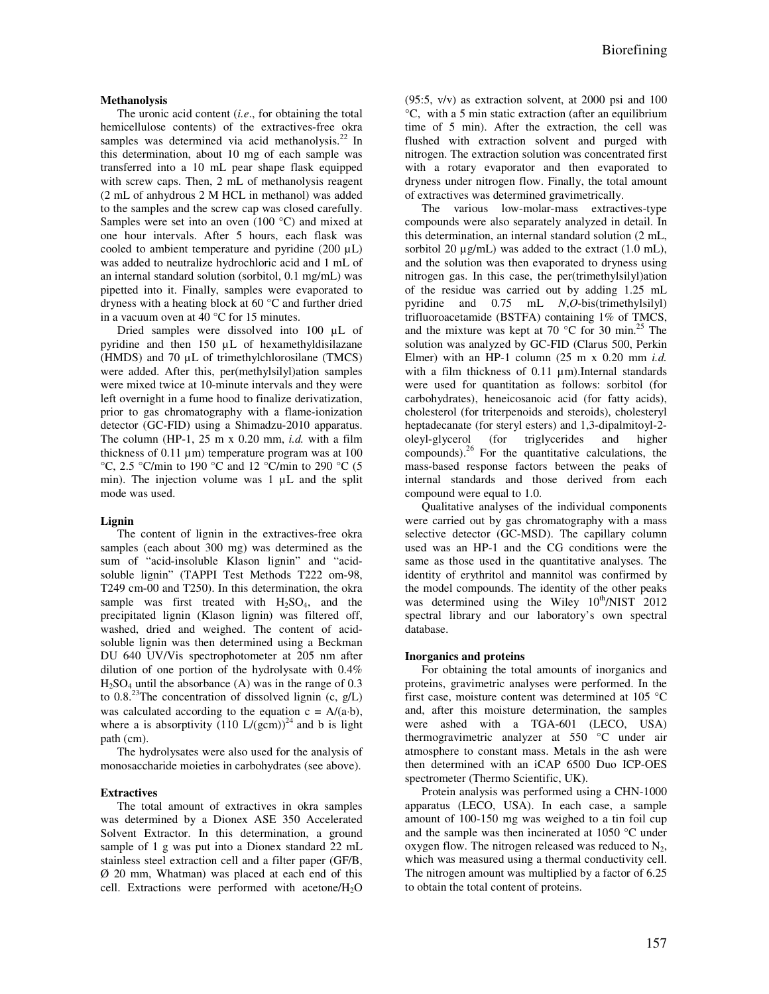## **Methanolysis**

The uronic acid content (*i.e*., for obtaining the total hemicellulose contents) of the extractives-free okra samples was determined via acid methanolysis. $^{22}$  In this determination, about 10 mg of each sample was transferred into a 10 mL pear shape flask equipped with screw caps. Then, 2 mL of methanolysis reagent (2 mL of anhydrous 2 M HCL in methanol) was added to the samples and the screw cap was closed carefully. Samples were set into an oven (100 °C) and mixed at one hour intervals. After 5 hours, each flask was cooled to ambient temperature and pyridine (200 µL) was added to neutralize hydrochloric acid and 1 mL of an internal standard solution (sorbitol, 0.1 mg/mL) was pipetted into it. Finally, samples were evaporated to dryness with a heating block at 60 °C and further dried in a vacuum oven at 40 °C for 15 minutes.

Dried samples were dissolved into 100 µL of pyridine and then 150 µL of hexamethyldisilazane (HMDS) and 70 µL of trimethylchlorosilane (TMCS) were added. After this, per(methylsilyl)ation samples were mixed twice at 10-minute intervals and they were left overnight in a fume hood to finalize derivatization, prior to gas chromatography with a flame-ionization detector (GC-FID) using a Shimadzu-2010 apparatus. The column (HP-1, 25 m x 0.20 mm, *i.d.* with a film thickness of  $0.11 \mu m$ ) temperature program was at  $100$ °C, 2.5 °C/min to 190 °C and 12 °C/min to 290 °C (5 min). The injection volume was 1  $\mu$ L and the split mode was used.

## **Lignin**

The content of lignin in the extractives-free okra samples (each about 300 mg) was determined as the sum of "acid-insoluble Klason lignin" and "acidsoluble lignin" (TAPPI Test Methods T222 om-98, T249 cm-00 and T250). In this determination, the okra sample was first treated with  $H_2SO_4$ , and the precipitated lignin (Klason lignin) was filtered off, washed, dried and weighed. The content of acidsoluble lignin was then determined using a Beckman DU 640 UV/Vis spectrophotometer at 205 nm after dilution of one portion of the hydrolysate with 0.4%  $H<sub>2</sub>SO<sub>4</sub>$  until the absorbance (A) was in the range of 0.3 to 0.8.<sup>23</sup>The concentration of dissolved lignin (c,  $g/L$ ) was calculated according to the equation  $c = A/(a·b)$ , where a is absorptivity  $(110 \text{ L/(gcm)})^{24}$  and b is light path (cm).

The hydrolysates were also used for the analysis of monosaccharide moieties in carbohydrates (see above).

#### **Extractives**

The total amount of extractives in okra samples was determined by a Dionex ASE 350 Accelerated Solvent Extractor. In this determination, a ground sample of 1 g was put into a Dionex standard 22 mL stainless steel extraction cell and a filter paper (GF/B, Ø 20 mm, Whatman) was placed at each end of this cell. Extractions were performed with acetone/ $H_2O$ 

 $(95:5, v/v)$  as extraction solvent, at 2000 psi and 100 °C, with a 5 min static extraction (after an equilibrium time of 5 min). After the extraction, the cell was flushed with extraction solvent and purged with nitrogen. The extraction solution was concentrated first with a rotary evaporator and then evaporated to dryness under nitrogen flow. Finally, the total amount of extractives was determined gravimetrically.

The various low-molar-mass extractives-type compounds were also separately analyzed in detail. In this determination, an internal standard solution (2 mL, sorbitol 20  $\mu$ g/mL) was added to the extract (1.0 mL), and the solution was then evaporated to dryness using nitrogen gas. In this case, the per(trimethylsilyl)ation of the residue was carried out by adding 1.25 mL pyridine and 0.75 mL *N*,*O*-bis(trimethylsilyl) trifluoroacetamide (BSTFA) containing 1% of TMCS, and the mixture was kept at 70  $^{\circ}$ C for 30 min.<sup>25</sup> The solution was analyzed by GC-FID (Clarus 500, Perkin Elmer) with an HP-1 column (25 m x 0.20 mm *i.d.*  with a film thickness of 0.11  $\mu$ m).Internal standards were used for quantitation as follows: sorbitol (for carbohydrates), heneicosanoic acid (for fatty acids), cholesterol (for triterpenoids and steroids), cholesteryl heptadecanate (for steryl esters) and 1,3-dipalmitoyl-2 oleyl-glycerol (for triglycerides and higher compounds). $^{26}$  For the quantitative calculations, the mass-based response factors between the peaks of internal standards and those derived from each compound were equal to 1.0.

Qualitative analyses of the individual components were carried out by gas chromatography with a mass selective detector (GC-MSD). The capillary column used was an HP-1 and the CG conditions were the same as those used in the quantitative analyses. The identity of erythritol and mannitol was confirmed by the model compounds. The identity of the other peaks was determined using the Wiley  $10^{th}/NIST$  2012 spectral library and our laboratory's own spectral database.

#### **Inorganics and proteins**

For obtaining the total amounts of inorganics and proteins, gravimetric analyses were performed. In the first case, moisture content was determined at 105 °C and, after this moisture determination, the samples were ashed with a TGA-601 (LECO, USA) thermogravimetric analyzer at 550 °C under air atmosphere to constant mass. Metals in the ash were then determined with an iCAP 6500 Duo ICP-OES spectrometer (Thermo Scientific, UK).

Protein analysis was performed using a CHN-1000 apparatus (LECO, USA). In each case, a sample amount of 100-150 mg was weighed to a tin foil cup and the sample was then incinerated at 1050 °C under oxygen flow. The nitrogen released was reduced to  $N_2$ , which was measured using a thermal conductivity cell. The nitrogen amount was multiplied by a factor of 6.25 to obtain the total content of proteins.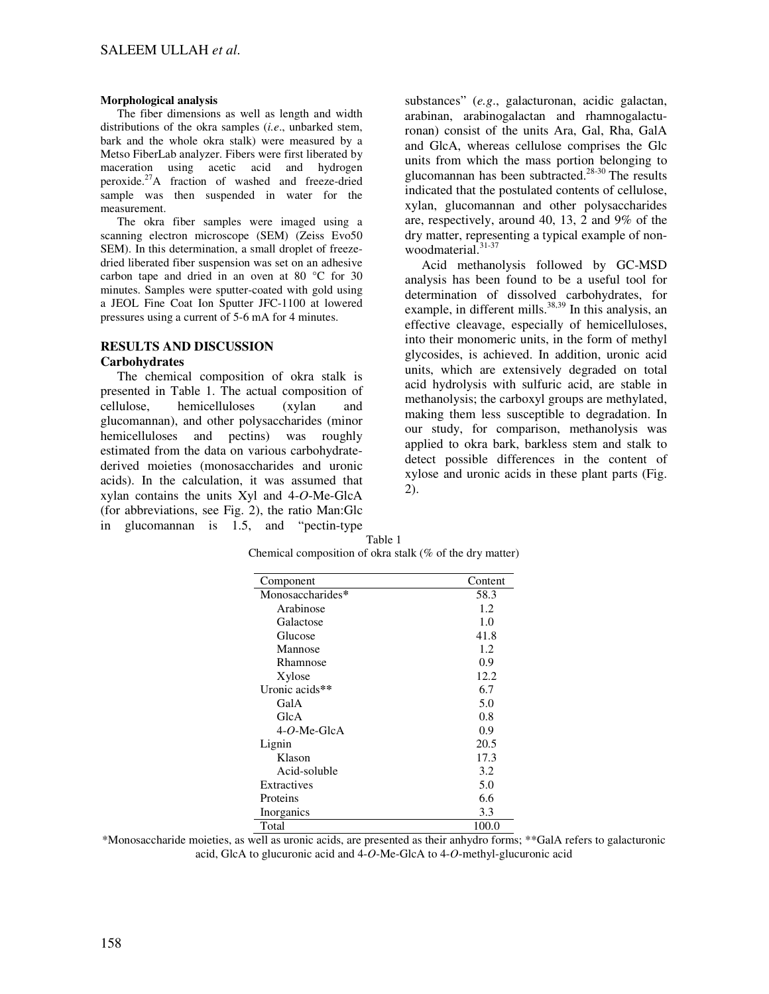#### **Morphological analysis**

The fiber dimensions as well as length and width distributions of the okra samples (*i.e*., unbarked stem, bark and the whole okra stalk) were measured by a Metso FiberLab analyzer. Fibers were first liberated by maceration using acetic acid and hydrogen peroxide. $^{27}$ A fraction of washed and freeze-dried sample was then suspended in water for the measurement.

The okra fiber samples were imaged using a scanning electron microscope (SEM) (Zeiss Evo50 SEM). In this determination, a small droplet of freezedried liberated fiber suspension was set on an adhesive carbon tape and dried in an oven at 80 °C for 30 minutes. Samples were sputter-coated with gold using a JEOL Fine Coat Ion Sputter JFC-1100 at lowered pressures using a current of 5-6 mA for 4 minutes.

# **RESULTS AND DISCUSSION**

#### **Carbohydrates**

The chemical composition of okra stalk is presented in Table 1. The actual composition of cellulose, hemicelluloses (xylan and glucomannan), and other polysaccharides (minor hemicelluloses and pectins) was roughly estimated from the data on various carbohydratederived moieties (monosaccharides and uronic acids). In the calculation, it was assumed that xylan contains the units Xyl and 4-*O*-Me-GlcA (for abbreviations, see Fig. 2), the ratio Man:Glc in glucomannan is 1.5, and "pectin-type

substances" (*e.g*., galacturonan, acidic galactan, arabinan, arabinogalactan and rhamnogalacturonan) consist of the units Ara, Gal, Rha, GalA and GlcA, whereas cellulose comprises the Glc units from which the mass portion belonging to glucomannan has been subtracted.<sup>28-30</sup> The results indicated that the postulated contents of cellulose, xylan, glucomannan and other polysaccharides are, respectively, around 40, 13, 2 and 9% of the dry matter, representing a typical example of nonwoodmaterial.<sup>31-37</sup>

Acid methanolysis followed by GC-MSD analysis has been found to be a useful tool for determination of dissolved carbohydrates, for example, in different mills. $38,39$  In this analysis, an effective cleavage, especially of hemicelluloses, into their monomeric units, in the form of methyl glycosides, is achieved. In addition, uronic acid units, which are extensively degraded on total acid hydrolysis with sulfuric acid, are stable in methanolysis; the carboxyl groups are methylated, making them less susceptible to degradation. In our study, for comparison, methanolysis was applied to okra bark, barkless stem and stalk to detect possible differences in the content of xylose and uronic acids in these plant parts (Fig. 2).

| Component        | Content |
|------------------|---------|
| Monosaccharides* | 58.3    |
| Arabinose        | 1.2     |
| Galactose        | 1.0     |
| Glucose          | 41.8    |
| Mannose          | 1.2.    |
| Rhamnose         | 0.9     |
| Xylose           | 12.2    |
| Uronic acids**   | 6.7     |
| GalA             | 5.0     |
| GlcA             | 0.8     |
| $4-O$ -Me-GlcA   | 0.9     |
| Lignin           | 20.5    |
| Klason           | 17.3    |
| Acid-soluble     | 3.2     |
| Extractives      | 5.0     |
| Proteins         | 6.6     |
| Inorganics       | 3.3     |
| Total            | 100.0   |

Table 1 Chemical composition of okra stalk (% of the dry matter)

\*Monosaccharide moieties, as well as uronic acids, are presented as their anhydro forms; \*\*GalA refers to galacturonic acid, GlcA to glucuronic acid and 4-*O*-Me-GlcA to 4-*O*-methyl-glucuronic acid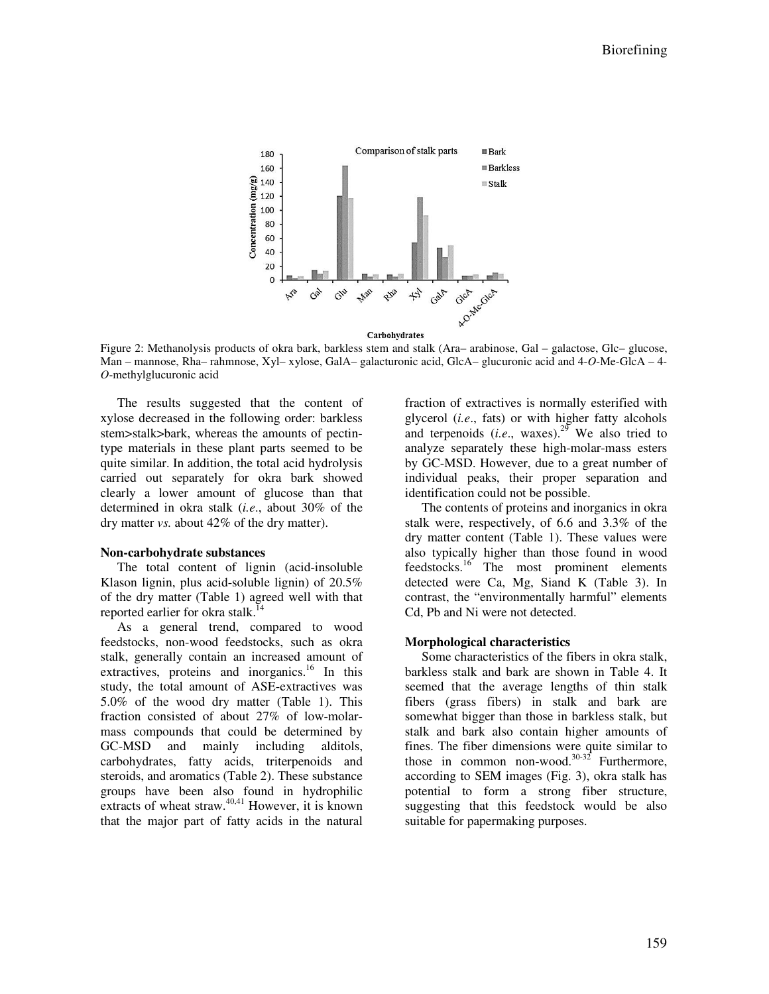

Figure 2: Methanolysis products of okra bark, barkless stem and stalk (Ara– arabinose, Gal – galactose, Glc– glucose, Man – mannose, Rha– rahmnose, Xyl– xylose, GalA– galacturonic acid, GlcA– glucuronic acid and 4-*O*-Me-GlcA – 4- *O*-methylglucuronic acid

The results suggested that the content of xylose decreased in the following order: barkless stem>stalk>bark, whereas the amounts of pectintype materials in these plant parts seemed to be quite similar. In addition, the total acid hydrolysis carried out separately for okra bark showed clearly a lower amount of glucose than that determined in okra stalk (*i.e*., about 30% of the dry matter *vs.* about 42% of the dry matter).

#### **Non-carbohydrate substances**

The total content of lignin (acid-insoluble Klason lignin, plus acid-soluble lignin) of 20.5% of the dry matter (Table 1) agreed well with that reported earlier for okra stalk.<sup>1</sup>

As a general trend, compared to wood feedstocks, non-wood feedstocks, such as okra stalk, generally contain an increased amount of extractives, proteins and inorganics.<sup>16</sup> In this study, the total amount of ASE-extractives was 5.0% of the wood dry matter (Table 1). This fraction consisted of about 27% of low-molarmass compounds that could be determined by GC-MSD and mainly including alditols, carbohydrates, fatty acids, triterpenoids and steroids, and aromatics (Table 2). These substance groups have been also found in hydrophilic extracts of wheat straw. $40,41$  However, it is known that the major part of fatty acids in the natural

fraction of extractives is normally esterified with glycerol (*i.e*., fats) or with higher fatty alcohols and terpenoids  $(i.e., \text{ waves})^{29}$  We also tried to analyze separately these high-molar-mass esters by GC-MSD. However, due to a great number of individual peaks, their proper separation and identification could not be possible.

The contents of proteins and inorganics in okra stalk were, respectively, of 6.6 and 3.3% of the dry matter content (Table 1). These values were also typically higher than those found in wood  $f$ eedstocks.<sup>16</sup> The most prominent elements detected were Ca, Mg, Siand K (Table 3). In contrast, the "environmentally harmful" elements Cd, Pb and Ni were not detected.

## **Morphological characteristics**

Some characteristics of the fibers in okra stalk, barkless stalk and bark are shown in Table 4. It seemed that the average lengths of thin stalk fibers (grass fibers) in stalk and bark are somewhat bigger than those in barkless stalk, but stalk and bark also contain higher amounts of fines. The fiber dimensions were quite similar to those in common non-wood.<sup>30-32</sup> Furthermore. according to SEM images (Fig. 3), okra stalk has potential to form a strong fiber structure, suggesting that this feedstock would be also suitable for papermaking purposes.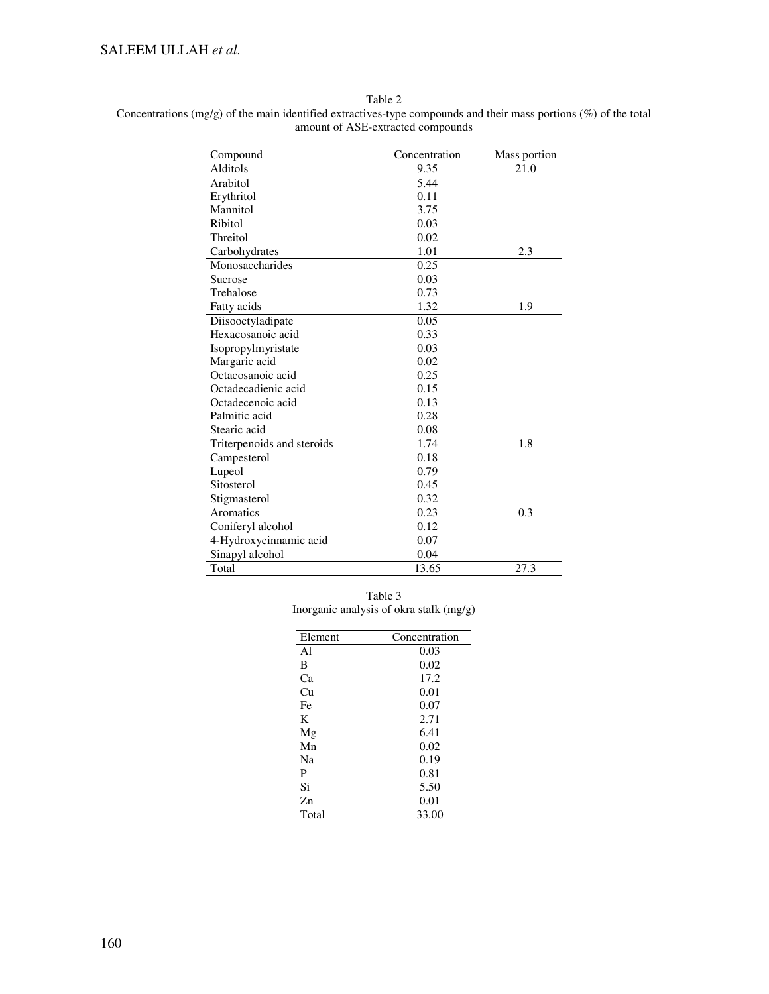# SALEEM ULLAH *et al*.

Table 2

| Concentrations (mg/g) of the main identified extractives-type compounds and their mass portions (%) of the total |  |  |  |
|------------------------------------------------------------------------------------------------------------------|--|--|--|
| amount of ASE-extracted compounds                                                                                |  |  |  |

| Compound                   | Concentration | Mass portion |
|----------------------------|---------------|--------------|
| Alditols                   | 9.35          | 21.0         |
| Arabitol                   | 5.44          |              |
| Erythritol                 | 0.11          |              |
| Mannitol                   | 3.75          |              |
| Ribitol                    | 0.03          |              |
| Threitol                   | 0.02          |              |
|                            | 1.01          | 2.3          |
| Carbohydrates              |               |              |
| Monosaccharides            | 0.25          |              |
| Sucrose                    | 0.03          |              |
| Trehalose                  | 0.73          |              |
| Fatty acids                | 1.32          | 1.9          |
| Diisooctyladipate          | 0.05          |              |
| Hexacosanoic acid          | 0.33          |              |
| Isopropylmyristate         | 0.03          |              |
| Margaric acid              | 0.02          |              |
| Octacosanoic acid          | 0.25          |              |
| Octadecadienic acid        | 0.15          |              |
| Octadecenoic acid          | 0.13          |              |
| Palmitic acid              | 0.28          |              |
| Stearic acid               | 0.08          |              |
| Triterpenoids and steroids | 1.74          | 1.8          |
| Campesterol                | 0.18          |              |
| Lupeol                     | 0.79          |              |
| Sitosterol                 | 0.45          |              |
| Stigmasterol               | 0.32          |              |
| Aromatics                  | 0.23          | 0.3          |
| Coniferyl alcohol          | 0.12          |              |
| 4-Hydroxycinnamic acid     | 0.07          |              |
| Sinapyl alcohol            | 0.04          |              |
| Total                      | 13.65         | 27.3         |

Table 3 Inorganic analysis of okra stalk (mg/g)

| Element        | Concentration |
|----------------|---------------|
| A <sub>1</sub> | 0.03          |
| B              | 0.02          |
| Ca             | 17.2          |
| Сu             | 0.01          |
| Fe             | 0.07          |
| K              | 2.71          |
| Mg             | 6.41          |
| Mn             | 0.02          |
| Na             | 0.19          |
| P              | 0.81          |
| Si             | 5.50          |
| Zn             | 0.01          |
| Total          | 33.00         |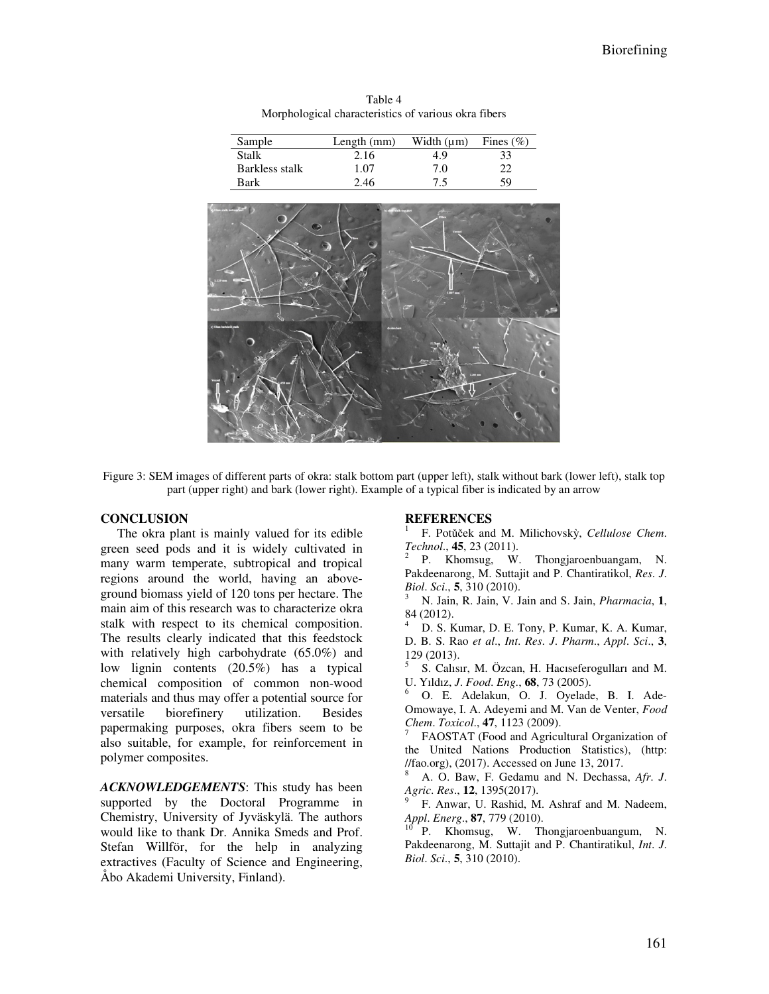Table 4 Morphological characteristics of various okra fibers

| Sample         | Length $(mm)$ | Width (um) | Fines $(\% )$ |
|----------------|---------------|------------|---------------|
| Stalk          | 2.16          | 4.9        | 33            |
| Barkless stalk | 1.07          | 7.0        | າາ            |
| Bark           | 2.46          | 7.5        | 59            |



Figure 3: SEM images of different parts of okra: stalk bottom part (upper left), stalk without bark (lower left), stalk top part (upper right) and bark (lower right). Example of a typical fiber is indicated by an arrow

## **CONCLUSION**

The okra plant is mainly valued for its edible green seed pods and it is widely cultivated in many warm temperate, subtropical and tropical regions around the world, having an aboveground biomass yield of 120 tons per hectare. The main aim of this research was to characterize okra stalk with respect to its chemical composition. The results clearly indicated that this feedstock with relatively high carbohydrate (65.0%) and low lignin contents (20.5%) has a typical chemical composition of common non-wood materials and thus may offer a potential source for versatile biorefinery utilization. Besides papermaking purposes, okra fibers seem to be also suitable, for example, for reinforcement in polymer composites.

*ACKNOWLEDGEMENTS*: This study has been supported by the Doctoral Programme in Chemistry, University of Jyväskylä. The authors would like to thank Dr. Annika Smeds and Prof. Stefan Willför, for the help in analyzing extractives (Faculty of Science and Engineering, Åbo Akademi University, Finland).

#### **REFERENCES**

1 F. Potǔček and M. Milichovskỳ, *Cellulose Chem*. *Technol*., **45**, 23 (2011).

2 P. Khomsug, W. Thongjaroenbuangam, N. Pakdeenarong, M. Suttajit and P. Chantiratikol, *Res*. *J*. *Biol*. *Sci*., **5**, 310 (2010).

<sup>3</sup> N. Jain, R. Jain, V. Jain and S. Jain, *Pharmacia*, **1**, 84 (2012).

<sup>4</sup> D. S. Kumar, D. E. Tony, P. Kumar, K. A. Kumar, D. B. S. Rao *et al*., *Int*. *Res*. *J*. *Pharm*., *Appl*. *Sci*., **3**, 129 (2013).

5 S. Calısır, M. Özcan, H. Hacıseferogulları and M. U. Yıldız, *J*. *Food*. *Eng*., **68**, 73 (2005).

<sup>6</sup> O. E. Adelakun, O. J. Oyelade, B. I. Ade-Omowaye, I. A. Adeyemi and M. Van de Venter, *Food Chem*. *Toxicol*., **47**, 1123 (2009).

7 FAOSTAT (Food and Agricultural Organization of the United Nations Production Statistics), (http: //fao.org), (2017). Accessed on June 13, 2017.

<sup>8</sup> A. O. Baw, F. Gedamu and N. Dechassa, *Afr*. *J*. *Agric*. *Res*., **12**, 1395(2017).

9 F. Anwar, U. Rashid, M. Ashraf and M. Nadeem, *Appl*. *Energ*., **87**, 779 (2010).

<sup>10</sup> P. Khomsug, W. Thongjaroenbuangum, N. Pakdeenarong, M. Suttajit and P. Chantiratikul, *Int*. *J*. *Biol*. *Sci*., **5**, 310 (2010).